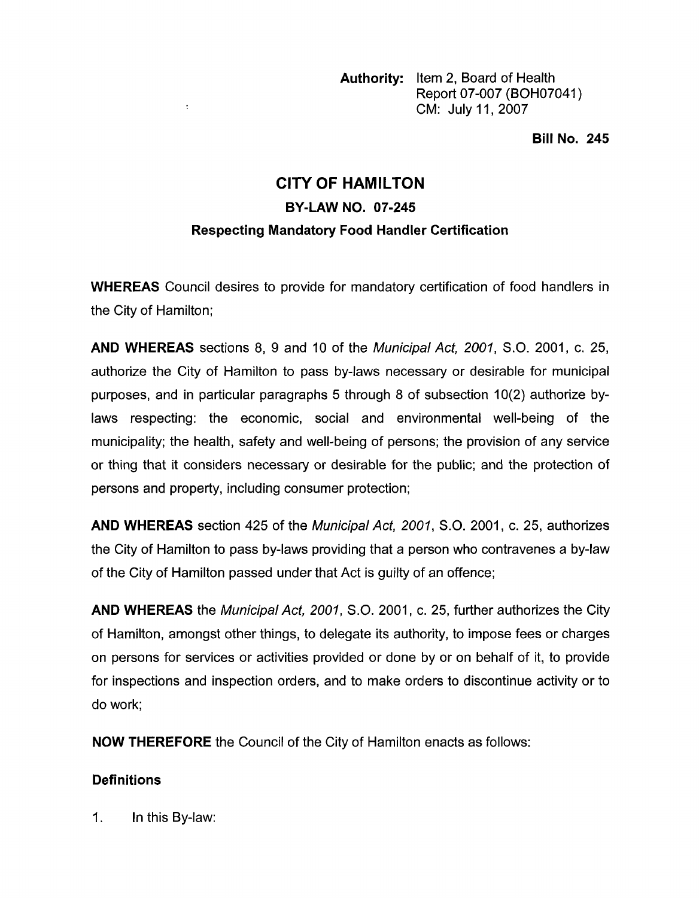**Authority:** Item 2, Board of Health Report 07-007 (BOH07041) CM: July 11 , 2007

**Bill No. 245** 

# **CITY OF HAMILTON BY-LAW NO. 07-245 Respecting Mandatory Food Handler Certification**

**WHEREAS** Council desires to provide for mandatory certification of food handlers in the City of Hamilton;

**AND WHEREAS** sections 8, 9 and 10 of the *Municipal Act, 2001, S.O.* 2001, c. 25, authorize the City of Hamilton to pass by-laws necessary or desirable for municipal purposes, and in particular paragraphs 5 through 8 of subsection  $10(2)$  authorize bylaws respecting: the economic, social and environmental well-being of the municipality; the health, safety and well-being of persons; the provision of any service or thing that it considers necessary or desirable for the public; and the protection of persons and property, including consumer protection;

**AND WHEREAS** section 425 of the *Municipal Act, 2001, S.O.* 2001, c. 25, authorizes the City of Hamilton to pass by-laws providing that a person who contravenes a by-law of the City of Hamilton passed under that Act is guilty of an offence;

**AND WHEREAS** the *Municipal Act, 2001, S.O.* 2001 , c. 25, further authorizes the City of Hamilton, amongst other things, to delegate its authority, to impose fees or charges on persons for services or activities provided or done by or on behalf of it, to provide for inspections and inspection orders, and to make orders to discontinue activity or to do work;

**NOW THEREFORE** the Council of the City of Hamilton enacts as follows:

# **Definitions**

1. In this By-law:

 $\ddot{\cdot}$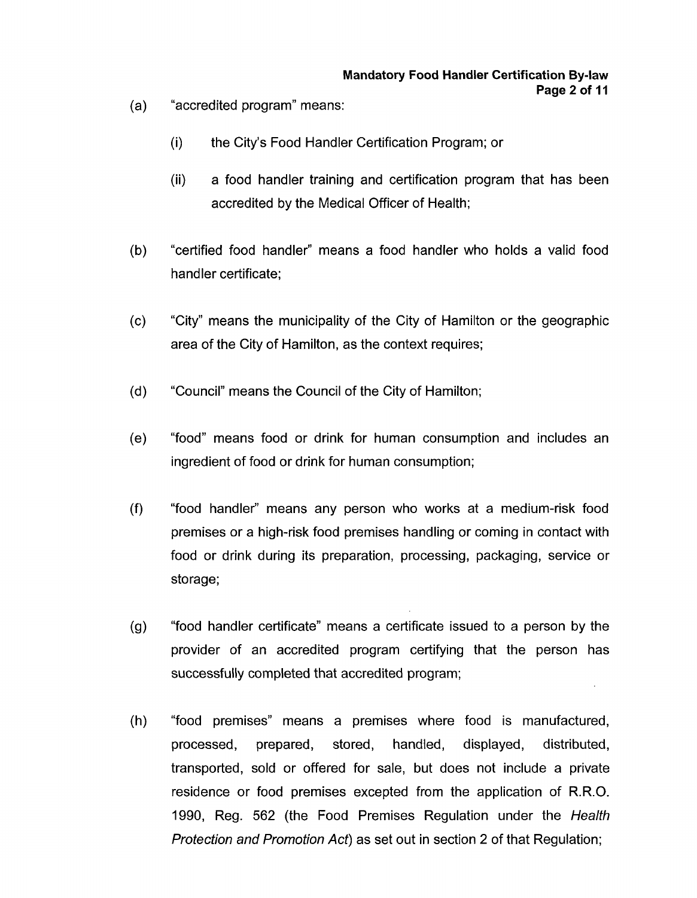- $(a)$ "accredited program" means:
	- (i) the City's Food Handier Certification Program; or
	- (ii) a food handler training and certification program that has been accredited by the Medical Officer of Health;
- $(b)$ "certified food handler" means a food handler who holds a valid food handler certificate;
- $(c)$ "City" means the municipality of the City of Hamilton or the geographic area of the City of Hamilton, as the context requires;
- "Council" means the Council of the City of Hamilton;  $(d)$
- "food" means food or drink for human consumption and includes an  $(e)$ ingredient of food or drink for human consumption;
- "food handler" means any person who works at a medium-risk food  $(f)$ premises or a high-risk food premises handling or coming in contact with food or drink during its preparation, processing, packaging, service or storage;
- "food handler certificate" means a certificate issued to a person by the  $(q)$ provider of an accredited program certifying that the person has successfully completed that accredited program;
- $(h)$ "food premises" means a premises where food is manufactured, processed, prepared, stored, handled, displayed, distributed, transported, sold or offered for sale, but does not include a private residence or food premises excepted from the application of R.R.O. 1990, Reg. 562 (the Food Premises Regulation under the *Healfh Protection and Promofion Act)* as set out in section 2 of that Regulation;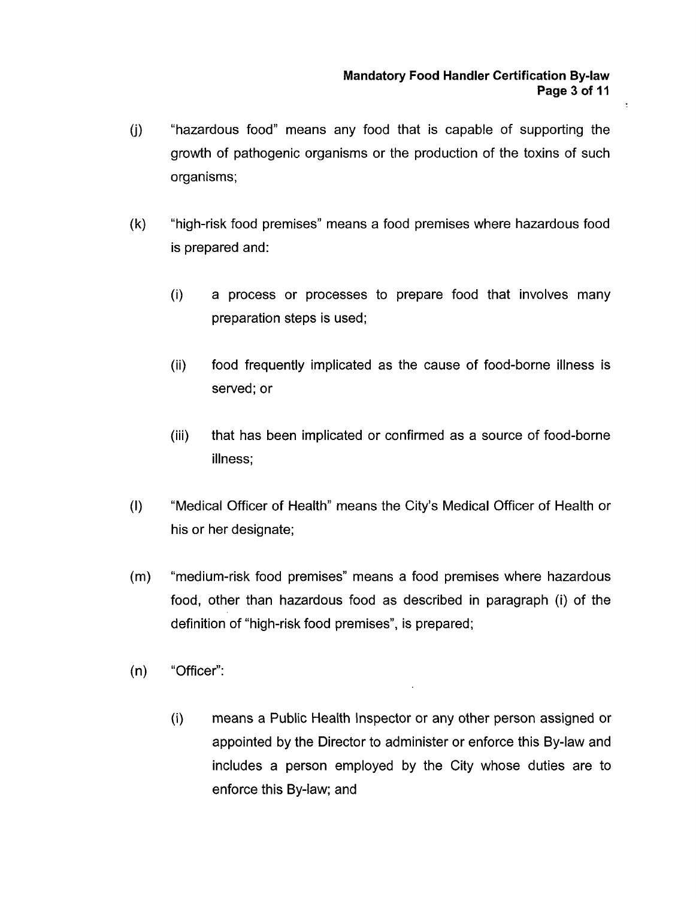$\overline{\mathbb{C}}$ 

- (j ) "hazardous food" means any food that is capable of supporting the growth of pathogenic organisms or the production of the toxins of such organisms;
- (k) "high-risk food premises" means a food premises where hazardous food is prepared and:
	- (i) a process or processes to prepare food that involves many preparation steps is used;
	- (ii) food frequently implicated as the cause of food-borne illness is served; or
	- (iii) that has been implicated or confirmed as a source of food-borne illness;
- (I) "Medical Officer of Health" means the City's Medical Officer of Health or his or her designate;
- (m) "medium-risk food premises" means a food premises where hazardous food, other than hazardous food as described in paragraph (i) of the definition of "high-risk food premises", is prepared;
- (n) "Officer":
	- (i) means a Public Health Inspector or any other person assigned or appointed by the Director to administer or enforce this By-law and includes a person employed by the City whose duties are to enforce this By-law; and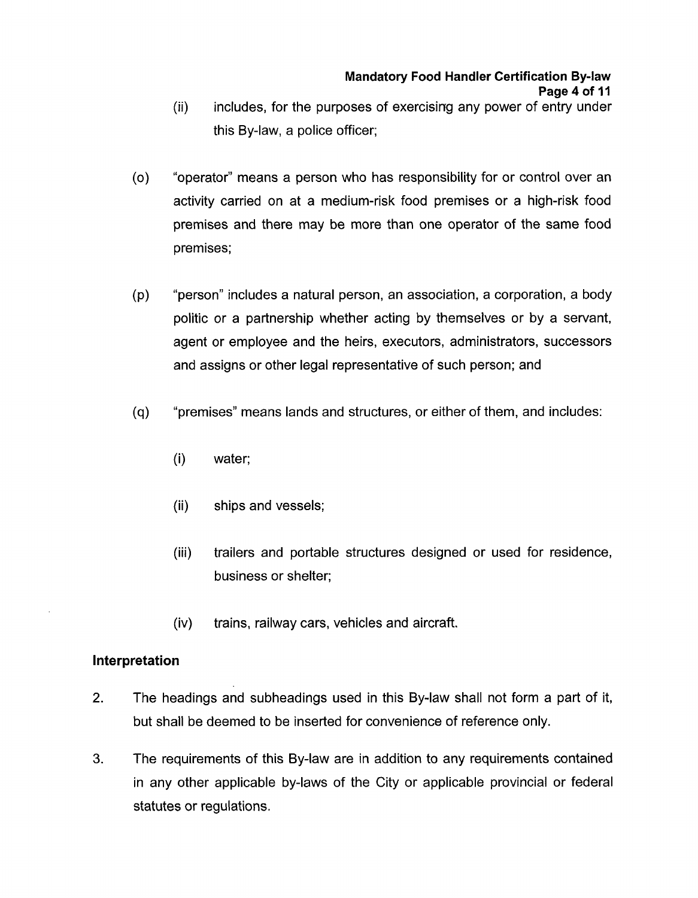#### **Mandatory Food Handler Certification By-law Page 4 of 11**

- includes, for the purposes of exercising any power of entry under this By-law, a police officer; (ii)
- $(0)$ "operator" means a person who has responsibility for or control over an activity carried on at a medium-risk food premises or a high-risk food premises and there may be more than one operator of the same food premises;
- $(p)$ "person" includes a natural person, an association, a corporation, a body politic or a partnership whether acting by themselves or by a servant, agent or employee and the heirs, executors, administrators, successors and assigns or other legal representative of such person; and
- $(q)$ "premises" means lands and structures, or either of them, and includes:
	- $(i)$ water;
	- $(ii)$ ships and vessels;
	- $(iii)$ trailers and portable structures designed or used for residence, business or shelter;
	- trains, railway cars, vehicles and aircraft.  $(iv)$

#### **Interpretation**

- 2. The headings and subheadings used in this By-law shall not form a part of it, but shall be deemed to be inserted for convenience of reference only.
- **3.** The requirements of this By-law are in addition to any requirements contained in any other applicable by-laws of the City or applicable provincial or federal statutes or regulations.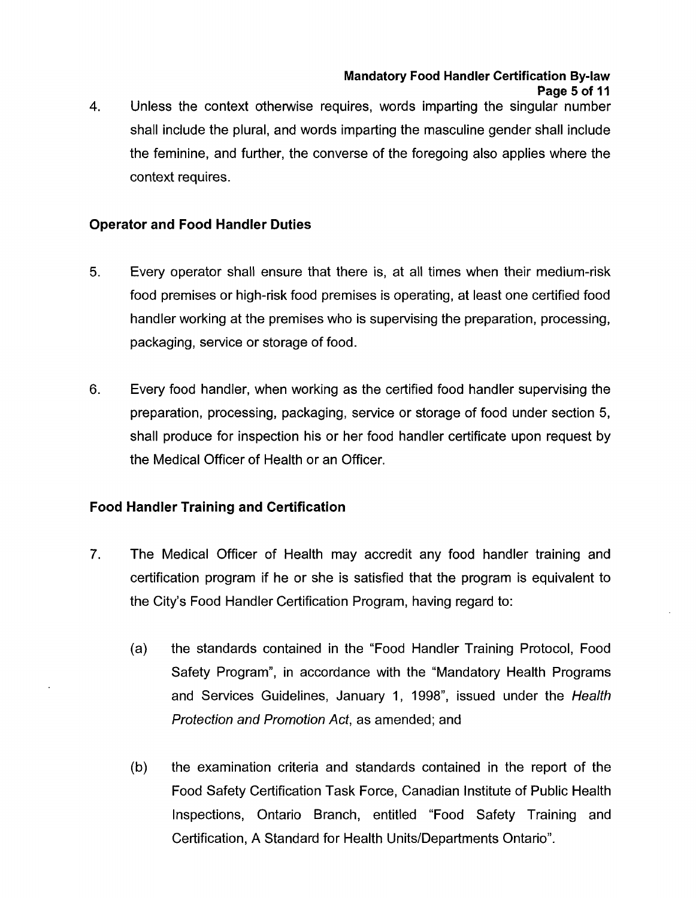## **Mandatory Food Handler Certification By-law Page 5 of I1**

Unless the context otherwise requires, words imparting the singular number shall include the plural, and words imparting the masculine gender shall include the feminine, and further, the converse of the foregoing also applies where the context requires. **4.** 

# **Operator and Food Handler Duties**

- **5.** Every operator shall ensure that there is, at all times when their medium-risk food premises or high-risk food premises is operating, at least one certified food handler working at the premises who is supervising the preparation, processing, packaging, service or storage of food.
- 6. Every food handler, when working as the certified food handler supervising the preparation, processing, packaging, service or storage of food under section 5, shall produce for inspection his or her food handler certificate upon request by the Medical Officer of Health or an Officer.

# **Food Handler Training and Certification**

- 7. The Medical Officer of Health may accredit any food handler training and certification program if he or she is satisfied that the program is equivalent to the City's Food Handler Certification Program, having regard to:
	- the standards contained in the "Food Handler Training Protocol, Food  $(a)$ Safety Program", in accordance with the "Mandatory Health Programs and Services Guidelines, January 1, 1998", issued under the *Health Protection and Promotion Act,* as amended; and
	- the examination criteria and standards contained in the report of the  $(b)$ Food Safety Certification Task Force, Canadian Institute of Public Health Inspections, Ontario Branch, entitled "Food Safety Training and Certification, A Standard for Health Units/Departments Ontario".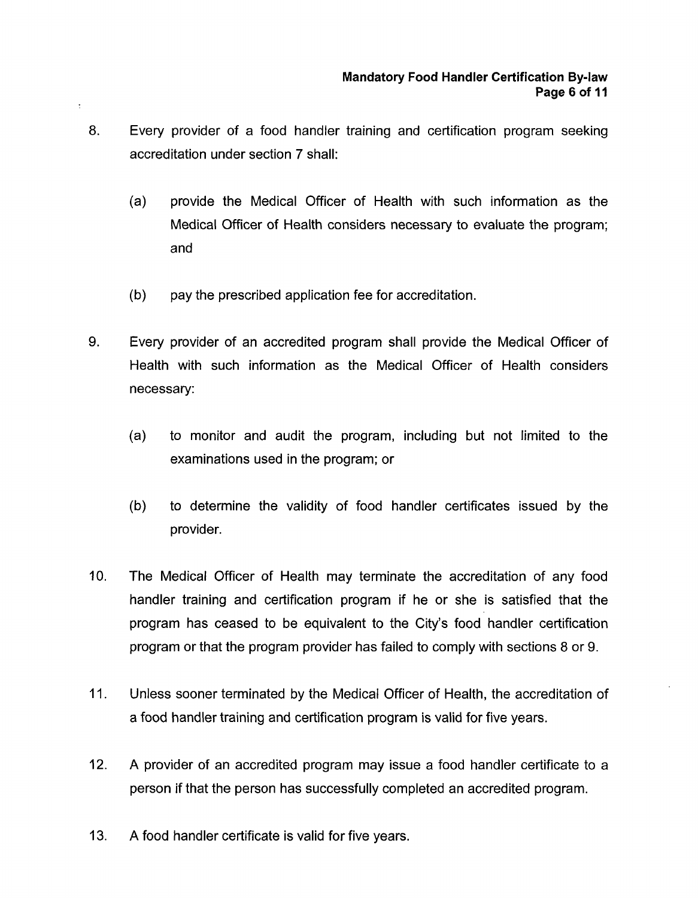- **8.** Every provider of a food handler training and certification program seeking accreditation under section 7 shall:
	- (a) provide the Medical Officer of Health with such information as the Medical Officer of Health considers necessary to evaluate the program; and
	- (b) pay the prescribed application fee for accreditation.
- 9. Every provider of an accredited program shall provide the Medical Officer of Health with such information as the Medical Officer of Health considers necessary:
	- (a) to monitor and audit the program, including but not limited to the examinations used in the program; or
	- (b) to determine the validity of food handler certificates issued by the provider.
- 10. The Medical Officer of Health may terminate the accreditation of any food handler training and certification program if he or she is satisfied that the program has ceased to be equivalent to the City's food handler certification program or that the program provider has failed to comply with sections 8 or 9.
- 11. Unless sooner terminated by the Medical Officer of Health, the accreditation of a food handler training and certification program is valid for five years.
- 12. **A** provider of an accredited program may issue a food handler certificate to a person if that the person has successfully completed an accredited program.
- 13. **A** food handler certificate is valid for five years.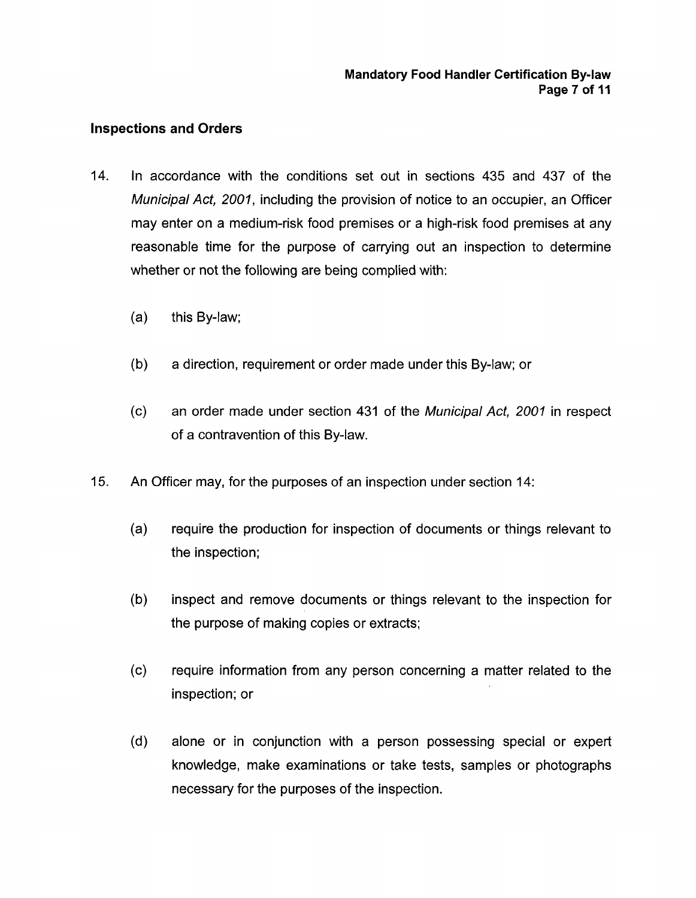## **Inspections and Orders**

- 14. In accordance with the conditions set out in sections 435 and 437 of the *Municipal Act, 2001,* including the provision of notice to an occupier, an Officer may enter on a medium-risk food premises or a high-risk food premises at any reasonable time for the purpose of carrying out an inspection to determine whether or not the following are being complied with:
	- (a) this By-law;
	- (b) a direction, requirement or order made under this By-law; or
	- (c) an order made under section 431 **of** the *Municipal Act, 2001* in respect of a contravention of this By-law.
- 15. An Officer may, for the purposes of an inspection under section 14:
	- (a) require the production for inspection of documents or things relevant to the inspection;
	- (b) inspect and remove documents or things relevant to the inspection for the purpose of making copies or extracts;
	- (c) require information from any person concerning a matter related to the inspection; or
	- (d) alone or in conjunction with a person possessing special or expert knowledge, make examinations or take tests, samples or photographs necessary for the purposes of the inspection.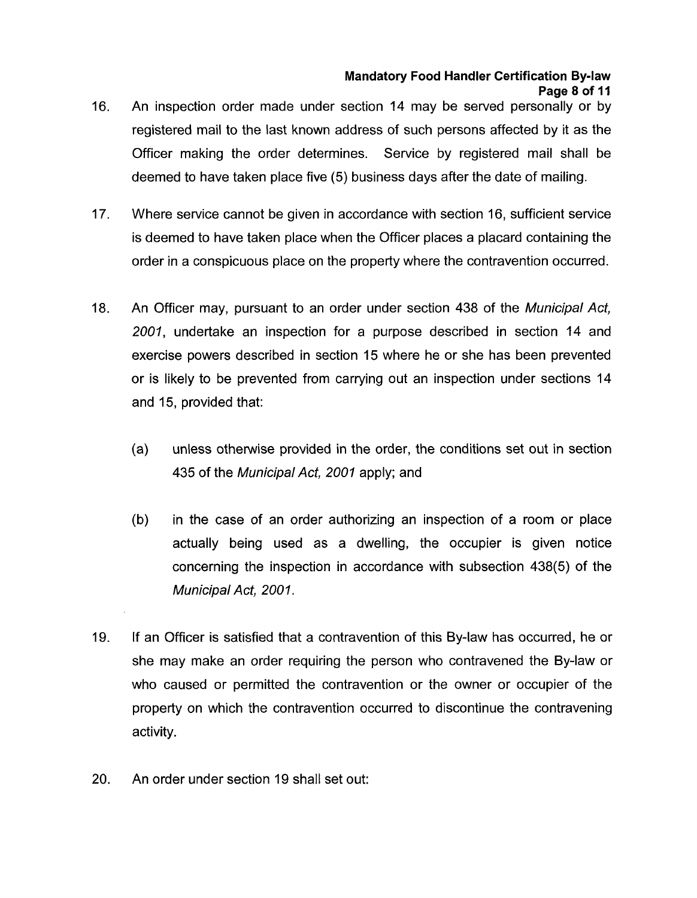#### **Mandatory Food Handler Certification By-law Page 8 of 11**

- 16. An inspection order made under section 14 may be served personally or by registered mail to the last known address of such persons affected by it as the Officer making the order determines. Service by registered mail shall be deemed to have taken place five (5) business days after the date of mailing.
- 17. Where service cannot be given in accordance with section 16, sufficient service is deemed to have taken place when the Officer places a placard containing the order in a conspicuous place on the property where the contravention occurred.
- 18. An Officer may, pursuant to an order under section 438 of the *Municipal Act, 2001,* undertake an inspection for a purpose described in section 14 and exercise powers described in section 15 where he or she has been prevented or is likely to be prevented from carrying out an inspection under sections 14 and 15, provided that:
	- $(a)$ unless otherwise provided in the order, the conditions set out in section 435 of the *Municipal Act, 2001* apply; and
	- $(b)$ in the case of an order authorizing an inspection of a room or place actually being used as a dwelling, the occupier is given notice concerning the inspection in accordance with subsection 438(5) of the *Municipal Act, 2001.*
- 19. If an Officer is satisfied that a contravention of this By-law has occurred, he or she may make an order requiring the person who contravened the By-law or who caused or permitted the contravention or the owner or occupier of the property on which the contravention occurred to discontinue the contravening activity.
- 20. An order under section 19 shall set out: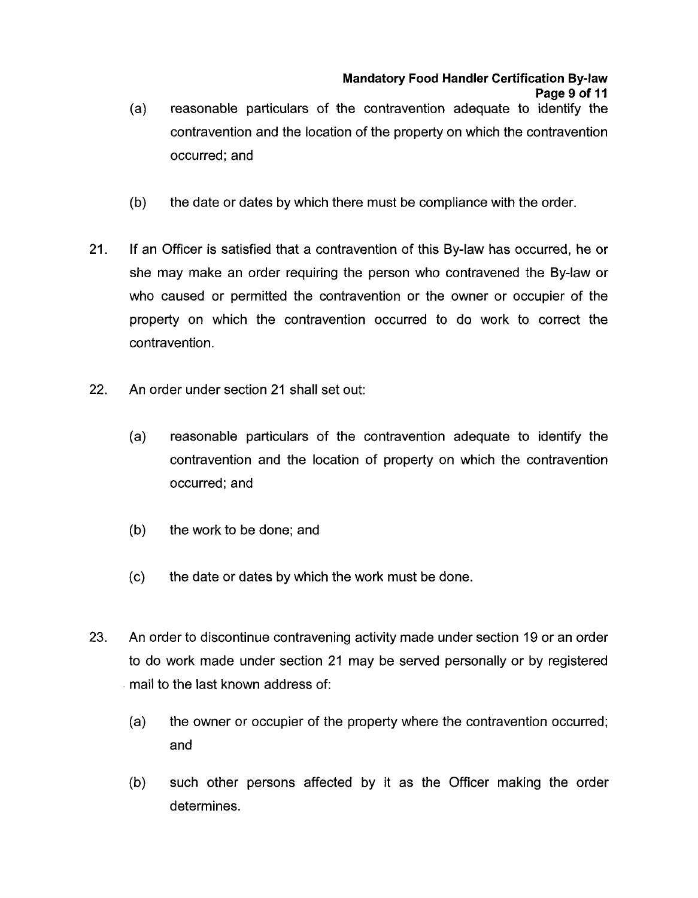- reasonable particulars of the contravention adequate to identify the contravention and the location of the property on which the contravention occurred; and (a)
- (b) the date or dates by which there must be compliance with the order.
- 21. If an Officer is satisfied that a contravention of this By-law has occurred, he or she may make an order requiring the person who contravened the By-law or who caused or permitted the contravention or the owner or occupier of the property on which the contravention occurred to do work to correct the contravention .
- 22. An order under section 21 shall set out:
	- (a) reasonable particulars of the contravention adequate to identify the contravention and the location of property on which the contravention occurred; and
	- (b) the work to be done; and
	- (c) the date or dates by which the work must be done.
- **23.** An order to discontinue contravening activity made under section 19 or an order to do work made under section 21 may be served personally or by registered mail to the last known address of:
	- (a) the owner or occupier of the property where the contravention occurred; and
	- (b) such other persons affected by it as the Officer making the order determines.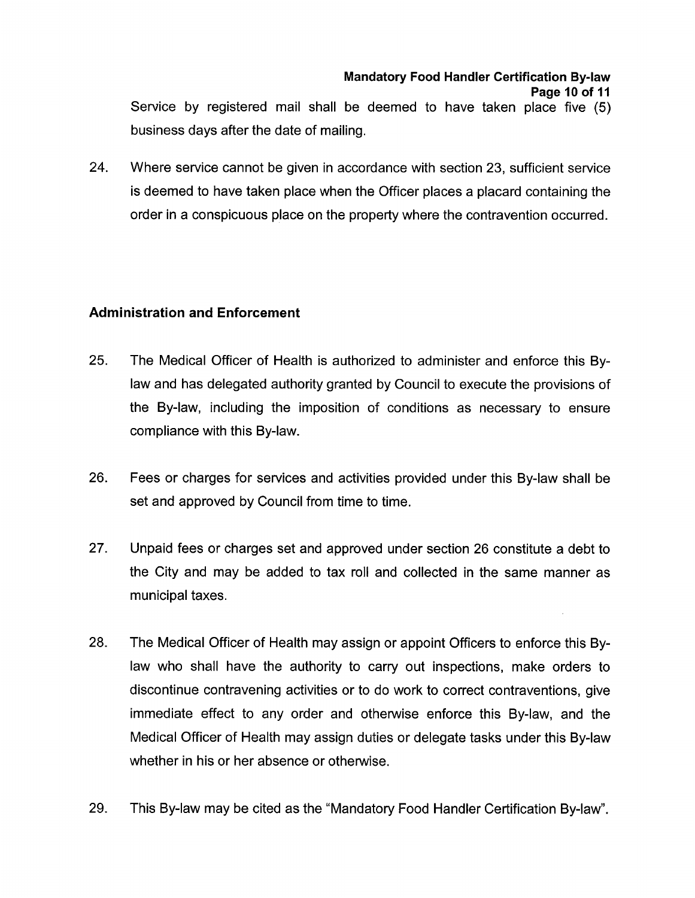#### **Mandatory Food Handler Certification By-law Page 10 of I1**

Service by registered mail shall be deemed to have taken place five (5) business days after the date of mailing.

24. Where service cannot be given in accordance with section 23, sufficient service is deemed to have taken place when the Officer places a placard containing the order in a conspicuous place on the property where the contravention occurred.

## **Administration and Enforcement**

- 25. The Medical Officer of Health is authorized to administer and enforce this Bylaw and has delegated authority granted by Council to execute the provisions of the By-law, including the imposition of conditions as necessary to ensure compliance with this By-law.
- 26. Fees or charges for services and activities provided under this By-law shall be set and approved by Council from time to time.
- 27. Unpaid fees or charges set and approved under section 26 constitute a debt to the City and may be added to tax roll and collected in the same manner as municipal taxes.
- 28. The Medical Officer of Health may assign or appoint Officers to enforce this Bylaw who shall have the authority to carry out inspections, make orders to discontinue contravening activities or to do work to correct contraventions, give immediate effect to any order and otherwise enforce this By-law, and the Medical Officer of Health may assign duties or delegate tasks under this By-law whether in his or her absence or otherwise.
- 29. This By-law may be cited as the "Mandatory Food Handler Certification By-law".